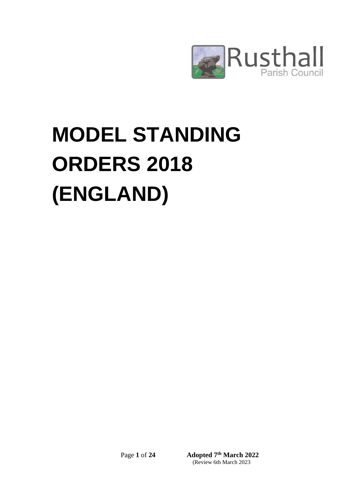

# **MODEL STANDING ORDERS 2018 (ENGLAND)**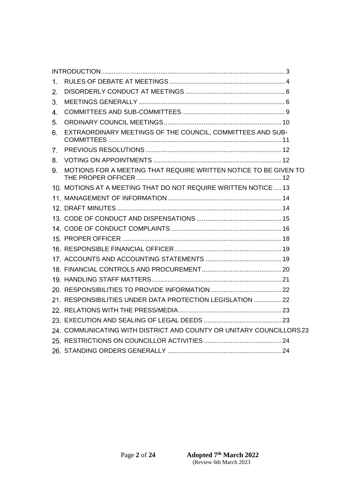| 1.             |                                                                      |  |
|----------------|----------------------------------------------------------------------|--|
| 2.             |                                                                      |  |
| 3.             |                                                                      |  |
| 4.             |                                                                      |  |
| 5.             |                                                                      |  |
| 6.             | EXTRAORDINARY MEETINGS OF THE COUNCIL, COMMITTEES AND SUB-           |  |
| 7.             |                                                                      |  |
| 8.             |                                                                      |  |
| 9 <sub>1</sub> | MOTIONS FOR A MEETING THAT REQUIRE WRITTEN NOTICE TO BE GIVEN TO     |  |
|                | 10. MOTIONS AT A MEETING THAT DO NOT REQUIRE WRITTEN NOTICE  13      |  |
|                |                                                                      |  |
|                |                                                                      |  |
|                |                                                                      |  |
|                |                                                                      |  |
|                |                                                                      |  |
|                |                                                                      |  |
|                |                                                                      |  |
|                |                                                                      |  |
|                |                                                                      |  |
|                |                                                                      |  |
|                | 21. RESPONSIBILITIES UNDER DATA PROTECTION LEGISLATION  22           |  |
|                |                                                                      |  |
|                |                                                                      |  |
|                | 24. COMMUNICATING WITH DISTRICT AND COUNTY OR UNITARY COUNCILLORS 23 |  |
|                |                                                                      |  |
|                |                                                                      |  |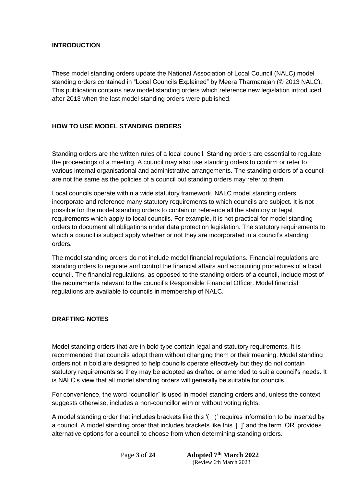## <span id="page-2-0"></span>**INTRODUCTION**

These model standing orders update the National Association of Local Council (NALC) model standing orders contained in "Local Councils Explained" by Meera Tharmarajah (© 2013 NALC). This publication contains new model standing orders which reference new legislation introduced after 2013 when the last model standing orders were published.

# **HOW TO USE MODEL STANDING ORDERS**

Standing orders are the written rules of a local council. Standing orders are essential to regulate the proceedings of a meeting. A council may also use standing orders to confirm or refer to various internal organisational and administrative arrangements. The standing orders of a council are not the same as the policies of a council but standing orders may refer to them.

Local councils operate within a wide statutory framework. NALC model standing orders incorporate and reference many statutory requirements to which councils are subject. It is not possible for the model standing orders to contain or reference all the statutory or legal requirements which apply to local councils. For example, it is not practical for model standing orders to document all obligations under data protection legislation. The statutory requirements to which a council is subject apply whether or not they are incorporated in a council's standing orders.

The model standing orders do not include model financial regulations. Financial regulations are standing orders to regulate and control the financial affairs and accounting procedures of a local council. The financial regulations, as opposed to the standing orders of a council, include most of the requirements relevant to the council's Responsible Financial Officer. Model financial regulations are available to councils in membership of NALC.

## **DRAFTING NOTES**

Model standing orders that are in bold type contain legal and statutory requirements. It is recommended that councils adopt them without changing them or their meaning. Model standing orders not in bold are designed to help councils operate effectively but they do not contain statutory requirements so they may be adopted as drafted or amended to suit a council's needs. It is NALC's view that all model standing orders will generally be suitable for councils.

For convenience, the word "councillor" is used in model standing orders and, unless the context suggests otherwise, includes a non-councillor with or without voting rights.

A model standing order that includes brackets like this '( )' requires information to be inserted by a council. A model standing order that includes brackets like this '[ ]' and the term 'OR' provides alternative options for a council to choose from when determining standing orders.

**Page 3 of 24**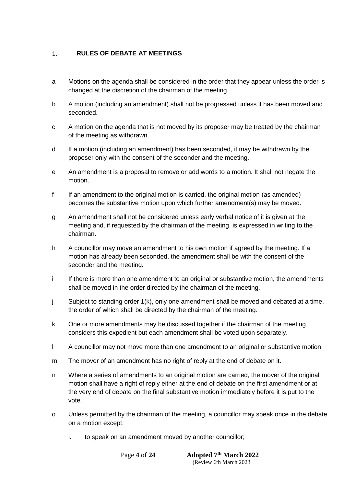#### <span id="page-3-0"></span>**RULES OF DEBATE AT MEETINGS**  $1.$

- a Motions on the agenda shall be considered in the order that they appear unless the order is changed at the discretion of the chairman of the meeting.
- b A motion (including an amendment) shall not be progressed unless it has been moved and seconded.
- c A motion on the agenda that is not moved by its proposer may be treated by the chairman of the meeting as withdrawn.
- d If a motion (including an amendment) has been seconded, it may be withdrawn by the proposer only with the consent of the seconder and the meeting.
- e An amendment is a proposal to remove or add words to a motion. It shall not negate the motion.
- f If an amendment to the original motion is carried, the original motion (as amended) becomes the substantive motion upon which further amendment(s) may be moved.
- g An amendment shall not be considered unless early verbal notice of it is given at the meeting and, if requested by the chairman of the meeting, is expressed in writing to the chairman.
- h A councillor may move an amendment to his own motion if agreed by the meeting. If a motion has already been seconded, the amendment shall be with the consent of the seconder and the meeting.
- i If there is more than one amendment to an original or substantive motion, the amendments shall be moved in the order directed by the chairman of the meeting.
- j Subject to standing order 1(k), only one amendment shall be moved and debated at a time, the order of which shall be directed by the chairman of the meeting.
- k One or more amendments may be discussed together if the chairman of the meeting considers this expedient but each amendment shall be voted upon separately.
- l A councillor may not move more than one amendment to an original or substantive motion.
- m The mover of an amendment has no right of reply at the end of debate on it.
- n Where a series of amendments to an original motion are carried, the mover of the original motion shall have a right of reply either at the end of debate on the first amendment or at the very end of debate on the final substantive motion immediately before it is put to the vote.
- o Unless permitted by the chairman of the meeting, a councillor may speak once in the debate on a motion except:
	- i. to speak on an amendment moved by another councillor;

**Page 4 of 24**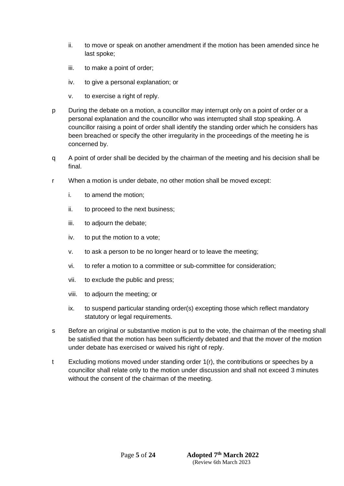- ii. to move or speak on another amendment if the motion has been amended since he last spoke;
- iii. to make a point of order;
- iv. to give a personal explanation; or
- v. to exercise a right of reply.
- p During the debate on a motion, a councillor may interrupt only on a point of order or a personal explanation and the councillor who was interrupted shall stop speaking. A councillor raising a point of order shall identify the standing order which he considers has been breached or specify the other irregularity in the proceedings of the meeting he is concerned by.
- q A point of order shall be decided by the chairman of the meeting and his decision shall be final.
- r When a motion is under debate, no other motion shall be moved except:
	- i. to amend the motion;
	- ii. to proceed to the next business;
	- iii. to adjourn the debate;
	- iv. to put the motion to a vote;
	- v. to ask a person to be no longer heard or to leave the meeting;
	- vi. to refer a motion to a committee or sub-committee for consideration;
	- vii. to exclude the public and press;
	- viii. to adjourn the meeting; or
	- ix. to suspend particular standing order(s) excepting those which reflect mandatory statutory or legal requirements.
- s Before an original or substantive motion is put to the vote, the chairman of the meeting shall be satisfied that the motion has been sufficiently debated and that the mover of the motion under debate has exercised or waived his right of reply.
- t Excluding motions moved under standing order 1(r), the contributions or speeches by a councillor shall relate only to the motion under discussion and shall not exceed 3 minutes without the consent of the chairman of the meeting.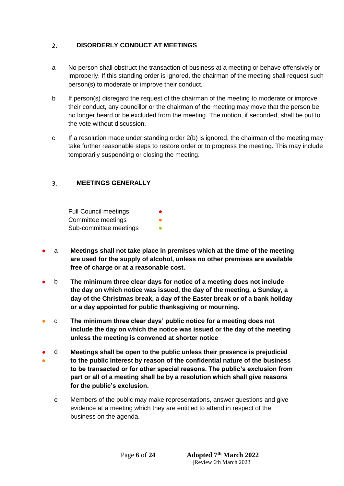#### <span id="page-5-0"></span>**DISORDERLY CONDUCT AT MEETINGS**  $2.$

- a No person shall obstruct the transaction of business at a meeting or behave offensively or improperly. If this standing order is ignored, the chairman of the meeting shall request such person(s) to moderate or improve their conduct.
- b If person(s) disregard the request of the chairman of the meeting to moderate or improve their conduct, any councillor or the chairman of the meeting may move that the person be no longer heard or be excluded from the meeting. The motion, if seconded, shall be put to the vote without discussion.
- c If a resolution made under standing order 2(b) is ignored, the chairman of the meeting may take further reasonable steps to restore order or to progress the meeting. This may include temporarily suspending or closing the meeting.

#### <span id="page-5-1"></span>**MEETINGS GENERALLY**  $3.$

Full Council meetings Committee meetings Sub-committee meetings

- a **Meetings shall not take place in premises which at the time of the meeting are used for the supply of alcohol, unless no other premises are available free of charge or at a reasonable cost.**
- b **The minimum three clear days for notice of a meeting does not include the day on which notice was issued, the day of the meeting, a Sunday, a day of the Christmas break, a day of the Easter break or of a bank holiday or a day appointed for public thanksgiving or mourning.**
- c **The minimum three clear days' public notice for a meeting does not include the day on which the notice was issued or the day of the meeting unless the meeting is convened at shorter notice**
- ● d **Meetings shall be open to the public unless their presence is prejudicial to the public interest by reason of the confidential nature of the business to be transacted or for other special reasons. The public's exclusion from part or all of a meeting shall be by a resolution which shall give reasons for the public's exclusion.**
	- e Members of the public may make representations, answer questions and give evidence at a meeting which they are entitled to attend in respect of the business on the agenda.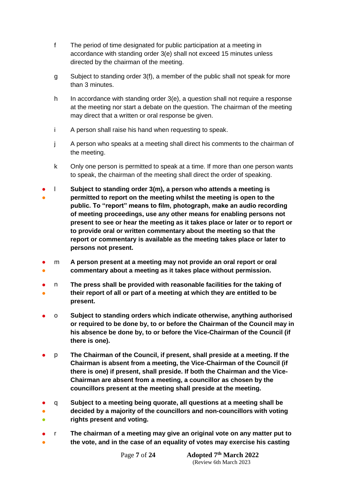- f The period of time designated for public participation at a meeting in accordance with standing order 3(e) shall not exceed 15 minutes unless directed by the chairman of the meeting.
- g Subject to standing order 3(f), a member of the public shall not speak for more than 3 minutes.
- h In accordance with standing order 3(e), a question shall not require a response at the meeting nor start a debate on the question. The chairman of the meeting may direct that a written or oral response be given.
- i A person shall raise his hand when requesting to speak.
- j A person who speaks at a meeting shall direct his comments to the chairman of the meeting.
- k Only one person is permitted to speak at a time. If more than one person wants to speak, the chairman of the meeting shall direct the order of speaking.
- ● l **Subject to standing order 3(m), a person who attends a meeting is permitted to report on the meeting whilst the meeting is open to the public. To "report" means to film, photograph, make an audio recording of meeting proceedings, use any other means for enabling persons not present to see or hear the meeting as it takes place or later or to report or to provide oral or written commentary about the meeting so that the report or commentary is available as the meeting takes place or later to persons not present.**
- ● m **A person present at a meeting may not provide an oral report or oral commentary about a meeting as it takes place without permission.**
- ● n **The press shall be provided with reasonable facilities for the taking of their report of all or part of a meeting at which they are entitled to be present.**
- o **Subject to standing orders which indicate otherwise, anything authorised or required to be done by, to or before the Chairman of the Council may in his absence be done by, to or before the Vice-Chairman of the Council (if there is one).**
- p **The Chairman of the Council, if present, shall preside at a meeting. If the Chairman is absent from a meeting, the Vice-Chairman of the Council (if there is one) if present, shall preside. If both the Chairman and the Vice-Chairman are absent from a meeting, a councillor as chosen by the councillors present at the meeting shall preside at the meeting.**
- ● ● q **Subject to a meeting being quorate, all questions at a meeting shall be decided by a majority of the councillors and non-councillors with voting rights present and voting.**
- ● r **The chairman of a meeting may give an original vote on any matter put to the vote, and in the case of an equality of votes may exercise his casting**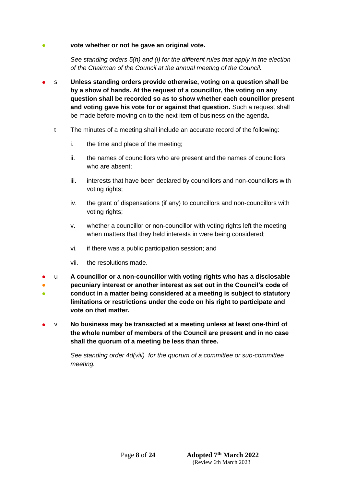## vote whether or not he gave an original vote.

*See standing orders 5(h) and (i) for the different rules that apply in the election of the Chairman of the Council at the annual meeting of the Council.*

- s **Unless standing orders provide otherwise, voting on a question shall be by a show of hands. At the request of a councillor, the voting on any question shall be recorded so as to show whether each councillor present and voting gave his vote for or against that question.** Such a request shall be made before moving on to the next item of business on the agenda.
	- t The minutes of a meeting shall include an accurate record of the following:
		- i. the time and place of the meeting;
		- ii. the names of councillors who are present and the names of councillors who are absent;
		- iii. interests that have been declared by councillors and non-councillors with voting rights;
		- iv. the grant of dispensations (if any) to councillors and non-councillors with voting rights:
		- v. whether a councillor or non-councillor with voting rights left the meeting when matters that they held interests in were being considered;
		- vi. if there was a public participation session; and
		- vii. the resolutions made.
- u **A councillor or a non-councillor with voting rights who has a disclosable**
- ● **pecuniary interest or another interest as set out in the Council's code of conduct in a matter being considered at a meeting is subject to statutory limitations or restrictions under the code on his right to participate and vote on that matter.**
- v **No business may be transacted at a meeting unless at least one-third of the whole number of members of the Council are present and in no case shall the quorum of a meeting be less than three.**

*See standing order 4d(viii) for the quorum of a committee or sub-committee meeting.*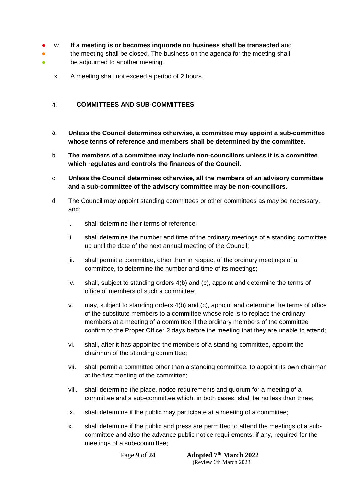- w **If a meeting is or becomes inquorate no business shall be transacted** and
- the meeting shall be closed. The business on the agenda for the meeting shall
- be adjourned to another meeting.
	- x A meeting shall not exceed a period of 2 hours.

#### <span id="page-8-0"></span> $\overline{4}$ . **COMMITTEES AND SUB-COMMITTEES**

- a **Unless the Council determines otherwise, a committee may appoint a sub-committee whose terms of reference and members shall be determined by the committee.**
- b **The members of a committee may include non-councillors unless it is a committee which regulates and controls the finances of the Council.**
- c **Unless the Council determines otherwise, all the members of an advisory committee and a sub-committee of the advisory committee may be non-councillors.**
- d The Council may appoint standing committees or other committees as may be necessary, and:
	- i. shall determine their terms of reference;
	- ii. shall determine the number and time of the ordinary meetings of a standing committee up until the date of the next annual meeting of the Council;
	- iii. shall permit a committee, other than in respect of the ordinary meetings of a committee, to determine the number and time of its meetings;
	- iv. shall, subject to standing orders 4(b) and (c), appoint and determine the terms of office of members of such a committee;
	- v. may, subject to standing orders 4(b) and (c), appoint and determine the terms of office of the substitute members to a committee whose role is to replace the ordinary members at a meeting of a committee if the ordinary members of the committee confirm to the Proper Officer 2 days before the meeting that they are unable to attend;
	- vi. shall, after it has appointed the members of a standing committee, appoint the chairman of the standing committee;
	- vii. shall permit a committee other than a standing committee, to appoint its own chairman at the first meeting of the committee;
	- viii. shall determine the place, notice requirements and quorum for a meeting of a committee and a sub-committee which, in both cases, shall be no less than three;
	- ix. shall determine if the public may participate at a meeting of a committee;
	- x. shall determine if the public and press are permitted to attend the meetings of a subcommittee and also the advance public notice requirements, if any, required for the meetings of a sub-committee;

**Page 9 of 24**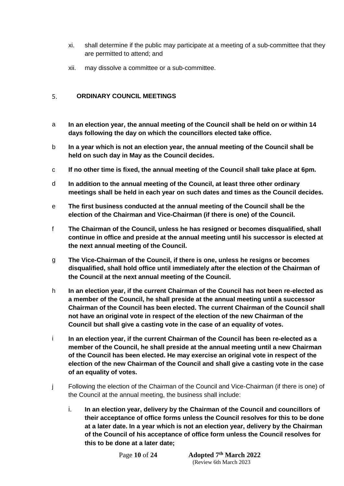- xi. shall determine if the public may participate at a meeting of a sub-committee that they are permitted to attend; and
- xii. may dissolve a committee or a sub-committee.

#### <span id="page-9-0"></span>**ORDINARY COUNCIL MEETINGS**   $5<sub>1</sub>$

- a **In an election year, the annual meeting of the Council shall be held on or within 14 days following the day on which the councillors elected take office.**
- b **In a year which is not an election year, the annual meeting of the Council shall be held on such day in May as the Council decides.**
- c **If no other time is fixed, the annual meeting of the Council shall take place at 6pm.**
- d **In addition to the annual meeting of the Council, at least three other ordinary meetings shall be held in each year on such dates and times as the Council decides.**
- e **The first business conducted at the annual meeting of the Council shall be the election of the Chairman and Vice-Chairman (if there is one) of the Council.**
- f **The Chairman of the Council, unless he has resigned or becomes disqualified, shall continue in office and preside at the annual meeting until his successor is elected at the next annual meeting of the Council.**
- g **The Vice-Chairman of the Council, if there is one, unless he resigns or becomes disqualified, shall hold office until immediately after the election of the Chairman of the Council at the next annual meeting of the Council.**
- h **In an election year, if the current Chairman of the Council has not been re-elected as a member of the Council, he shall preside at the annual meeting until a successor Chairman of the Council has been elected. The current Chairman of the Council shall not have an original vote in respect of the election of the new Chairman of the Council but shall give a casting vote in the case of an equality of votes.**
- i **In an election year, if the current Chairman of the Council has been re-elected as a member of the Council, he shall preside at the annual meeting until a new Chairman of the Council has been elected. He may exercise an original vote in respect of the election of the new Chairman of the Council and shall give a casting vote in the case of an equality of votes.**
- j Following the election of the Chairman of the Council and Vice-Chairman (if there is one) of the Council at the annual meeting, the business shall include:
	- i. **In an election year, delivery by the Chairman of the Council and councillors of their acceptance of office forms unless the Council resolves for this to be done at a later date. In a year which is not an election year, delivery by the Chairman of the Council of his acceptance of office form unless the Council resolves for this to be done at a later date;**

**Page 10 of 24**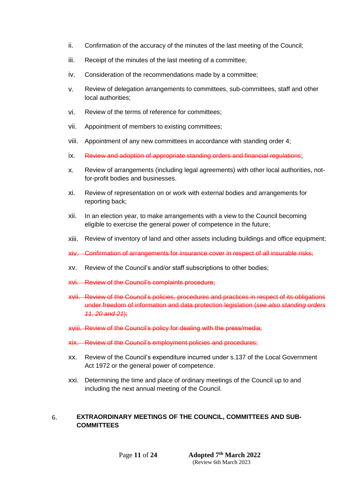- ii. Confirmation of the accuracy of the minutes of the last meeting of the Council;
- iii. Receipt of the minutes of the last meeting of a committee;
- iv. Consideration of the recommendations made by a committee;
- v. Review of delegation arrangements to committees, sub-committees, staff and other local authorities;
- vi. Review of the terms of reference for committees;
- vii. Appointment of members to existing committees;
- viii. Appointment of any new committees in accordance with standing order 4;
- ix. Review and adoption of appropriate standing orders and financial regulations;
- x. Review of arrangements (including legal agreements) with other local authorities, notfor-profit bodies and businesses.
- xi. Review of representation on or work with external bodies and arrangements for reporting back;
- xii. In an election year, to make arrangements with a view to the Council becoming eligible to exercise the general power of competence in the future;
- xiii. Review of inventory of land and other assets including buildings and office equipment;
- xiv. Confirmation of arrangements for insurance cover in respect of all insurable risks;
- xv. Review of the Council's and/or staff subscriptions to other bodies;
- xvi. Review of the Council's complaints procedure;
- xvii. Review of the Council's policies, procedures and practices in respect of its obligations under freedom of information and data protection legislation (*see also standing orders 11, 20 and 21*);
- xviii. Review of the Council's policy for dealing with the press/media;
- xix. Review of the Council's employment policies and procedures;
- xx. Review of the Council's expenditure incurred under s.137 of the Local Government Act 1972 or the general power of competence.
- xxi. Determining the time and place of ordinary meetings of the Council up to and including the next annual meeting of the Council.

## <span id="page-10-0"></span>6. **EXTRAORDINARY MEETINGS OF THE COUNCIL, COMMITTEES AND SUB-COMMITTEES**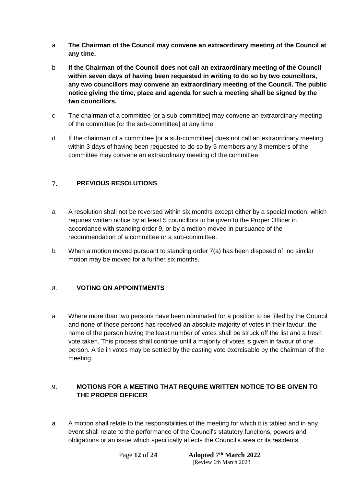- a **The Chairman of the Council may convene an extraordinary meeting of the Council at any time.**
- b **If the Chairman of the Council does not call an extraordinary meeting of the Council within seven days of having been requested in writing to do so by two councillors, any two councillors may convene an extraordinary meeting of the Council. The public notice giving the time, place and agenda for such a meeting shall be signed by the two councillors.**
- c The chairman of a committee [or a sub-committee] may convene an extraordinary meeting of the committee [or the sub-committee] at any time.
- d If the chairman of a committee [or a sub-committee] does not call an extraordinary meeting within 3 days of having been requested to do so by 5 members any 3 members of the committee may convene an extraordinary meeting of the committee.

#### <span id="page-11-0"></span> $\overline{7}$ . **PREVIOUS RESOLUTIONS**

- a A resolution shall not be reversed within six months except either by a special motion, which requires written notice by at least 5 councillors to be given to the Proper Officer in accordance with standing order 9, or by a motion moved in pursuance of the recommendation of a committee or a sub-committee.
- b When a motion moved pursuant to standing order 7(a) has been disposed of, no similar motion may be moved for a further six months.

#### <span id="page-11-1"></span>8. **VOTING ON APPOINTMENTS**

a Where more than two persons have been nominated for a position to be filled by the Council and none of those persons has received an absolute majority of votes in their favour, the name of the person having the least number of votes shall be struck off the list and a fresh vote taken. This process shall continue until a majority of votes is given in favour of one person. A tie in votes may be settled by the casting vote exercisable by the chairman of the meeting.

## <span id="page-11-2"></span>9. **MOTIONS FOR A MEETING THAT REQUIRE WRITTEN NOTICE TO BE GIVEN TO THE PROPER OFFICER**

a A motion shall relate to the responsibilities of the meeting for which it is tabled and in any event shall relate to the performance of the Council's statutory functions, powers and obligations or an issue which specifically affects the Council's area or its residents.

Page 12 of 24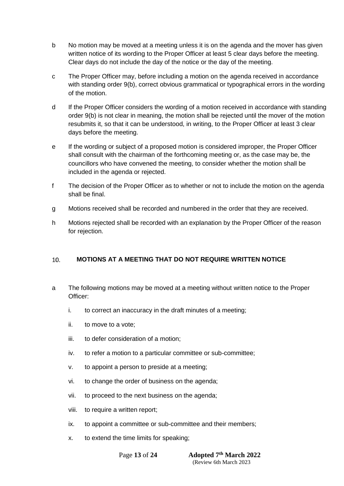- b No motion may be moved at a meeting unless it is on the agenda and the mover has given written notice of its wording to the Proper Officer at least 5 clear days before the meeting. Clear days do not include the day of the notice or the day of the meeting.
- c The Proper Officer may, before including a motion on the agenda received in accordance with standing order 9(b), correct obvious grammatical or typographical errors in the wording of the motion.
- d If the Proper Officer considers the wording of a motion received in accordance with standing order 9(b) is not clear in meaning, the motion shall be rejected until the mover of the motion resubmits it, so that it can be understood, in writing, to the Proper Officer at least 3 clear days before the meeting.
- e If the wording or subject of a proposed motion is considered improper, the Proper Officer shall consult with the chairman of the forthcoming meeting or, as the case may be, the councillors who have convened the meeting, to consider whether the motion shall be included in the agenda or rejected.
- f The decision of the Proper Officer as to whether or not to include the motion on the agenda shall be final.
- g Motions received shall be recorded and numbered in the order that they are received.
- h Motions rejected shall be recorded with an explanation by the Proper Officer of the reason for rejection.

#### <span id="page-12-0"></span> $10<sub>1</sub>$ **MOTIONS AT A MEETING THAT DO NOT REQUIRE WRITTEN NOTICE**

- a The following motions may be moved at a meeting without written notice to the Proper Officer:
	- i. to correct an inaccuracy in the draft minutes of a meeting;
	- ii. to move to a vote;
	- iii. to defer consideration of a motion;
	- iv. to refer a motion to a particular committee or sub-committee;
	- v. to appoint a person to preside at a meeting;
	- vi. to change the order of business on the agenda;
	- vii. to proceed to the next business on the agenda;
	- viii. to require a written report;
	- ix. to appoint a committee or sub-committee and their members;
	- x. to extend the time limits for speaking;

Page 13 of 24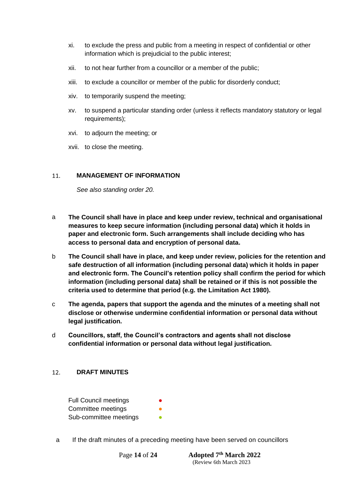- xi. to exclude the press and public from a meeting in respect of confidential or other information which is prejudicial to the public interest;
- xii. to not hear further from a councillor or a member of the public;
- xiii. to exclude a councillor or member of the public for disorderly conduct;
- xiv. to temporarily suspend the meeting;
- xv. to suspend a particular standing order (unless it reflects mandatory statutory or legal requirements);
- xvi. to adjourn the meeting; or
- xvii. to close the meeting.

#### <span id="page-13-0"></span> $11<sub>1</sub>$ **MANAGEMENT OF INFORMATION**

*See also standing order 20.*

- a **The Council shall have in place and keep under review, technical and organisational measures to keep secure information (including personal data) which it holds in paper and electronic form. Such arrangements shall include deciding who has access to personal data and encryption of personal data.**
- b **The Council shall have in place, and keep under review, policies for the retention and safe destruction of all information (including personal data) which it holds in paper and electronic form. The Council's retention policy shall confirm the period for which information (including personal data) shall be retained or if this is not possible the criteria used to determine that period (e.g. the Limitation Act 1980).**
- c **The agenda, papers that support the agenda and the minutes of a meeting shall not disclose or otherwise undermine confidential information or personal data without legal justification.**
- d **Councillors, staff, the Council's contractors and agents shall not disclose confidential information or personal data without legal justification.**

#### <span id="page-13-1"></span>**DRAFT MINUTES**   $12.$

Full Council meetings Committee meetings Sub-committee meetings

a If the draft minutes of a preceding meeting have been served on councillors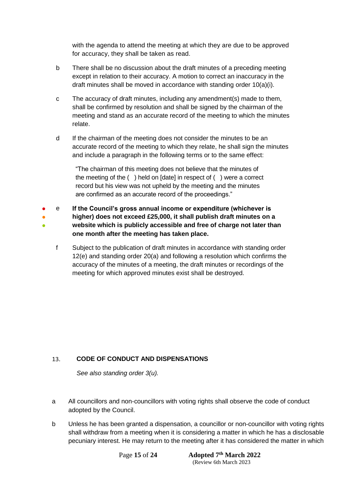with the agenda to attend the meeting at which they are due to be approved for accuracy, they shall be taken as read.

- b There shall be no discussion about the draft minutes of a preceding meeting except in relation to their accuracy. A motion to correct an inaccuracy in the draft minutes shall be moved in accordance with standing order 10(a)(i).
- c The accuracy of draft minutes, including any amendment(s) made to them, shall be confirmed by resolution and shall be signed by the chairman of the meeting and stand as an accurate record of the meeting to which the minutes relate.
- d If the chairman of the meeting does not consider the minutes to be an accurate record of the meeting to which they relate, he shall sign the minutes and include a paragraph in the following terms or to the same effect:

"The chairman of this meeting does not believe that the minutes of the meeting of the ( ) held on [date] in respect of ( ) were a correct record but his view was not upheld by the meeting and the minutes are confirmed as an accurate record of the proceedings."

- ● ● e **If the Council's gross annual income or expenditure (whichever is higher) does not exceed £25,000, it shall publish draft minutes on a website which is publicly accessible and free of charge not later than one month after the meeting has taken place.**
	- f Subject to the publication of draft minutes in accordance with standing order 12(e) and standing order 20(a) and following a resolution which confirms the accuracy of the minutes of a meeting, the draft minutes or recordings of the meeting for which approved minutes exist shall be destroyed.

#### <span id="page-14-0"></span>13. **CODE OF CONDUCT AND DISPENSATIONS**

*See also standing order 3(u).*

- a All councillors and non-councillors with voting rights shall observe the code of conduct adopted by the Council.
- b Unless he has been granted a dispensation, a councillor or non-councillor with voting rights shall withdraw from a meeting when it is considering a matter in which he has a disclosable pecuniary interest. He may return to the meeting after it has considered the matter in which

Page 15 of 24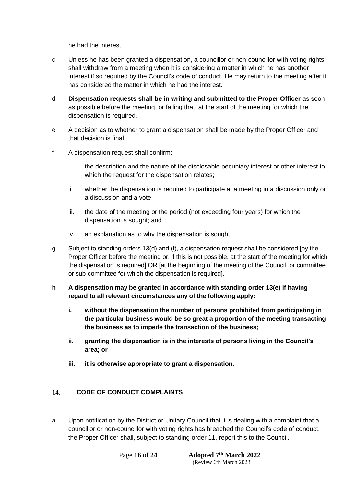he had the interest.

- c Unless he has been granted a dispensation, a councillor or non-councillor with voting rights shall withdraw from a meeting when it is considering a matter in which he has another interest if so required by the Council's code of conduct. He may return to the meeting after it has considered the matter in which he had the interest.
- d **Dispensation requests shall be in writing and submitted to the Proper Officer** as soon as possible before the meeting, or failing that, at the start of the meeting for which the dispensation is required.
- e A decision as to whether to grant a dispensation shall be made by the Proper Officer and that decision is final.
- f A dispensation request shall confirm:
	- i. the description and the nature of the disclosable pecuniary interest or other interest to which the request for the dispensation relates:
	- ii. whether the dispensation is required to participate at a meeting in a discussion only or a discussion and a vote;
	- iii. the date of the meeting or the period (not exceeding four years) for which the dispensation is sought; and
	- iv. an explanation as to why the dispensation is sought.
- g Subject to standing orders 13(d) and (f), a dispensation request shall be considered [by the Proper Officer before the meeting or, if this is not possible, at the start of the meeting for which the dispensation is required] OR [at the beginning of the meeting of the Council, or committee or sub-committee for which the dispensation is required].
- **h A dispensation may be granted in accordance with standing order 13(e) if having regard to all relevant circumstances any of the following apply:**
	- **i. without the dispensation the number of persons prohibited from participating in the particular business would be so great a proportion of the meeting transacting the business as to impede the transaction of the business;**
	- **ii. granting the dispensation is in the interests of persons living in the Council's area; or**
	- **iii. it is otherwise appropriate to grant a dispensation.**

#### <span id="page-15-0"></span> $14$ **CODE OF CONDUCT COMPLAINTS**

a Upon notification by the District or Unitary Council that it is dealing with a complaint that a councillor or non-councillor with voting rights has breached the Council's code of conduct, the Proper Officer shall, subject to standing order 11, report this to the Council.

Page **16** of 24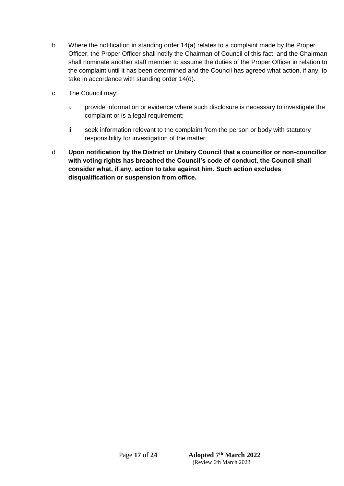- b Where the notification in standing order 14(a) relates to a complaint made by the Proper Officer, the Proper Officer shall notify the Chairman of Council of this fact, and the Chairman shall nominate another staff member to assume the duties of the Proper Officer in relation to the complaint until it has been determined and the Council has agreed what action, if any, to take in accordance with standing order 14(d).
- c The Council may:
	- i. provide information or evidence where such disclosure is necessary to investigate the complaint or is a legal requirement;
	- ii. seek information relevant to the complaint from the person or body with statutory responsibility for investigation of the matter;
- <span id="page-16-0"></span>d **Upon notification by the District or Unitary Council that a councillor or non-councillor with voting rights has breached the Council's code of conduct, the Council shall consider what, if any, action to take against him. Such action excludes disqualification or suspension from office.**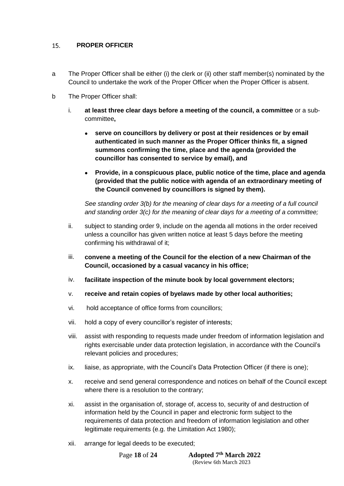#### $15.$ **PROPER OFFICER**

- a The Proper Officer shall be either (i) the clerk or (ii) other staff member(s) nominated by the Council to undertake the work of the Proper Officer when the Proper Officer is absent.
- b The Proper Officer shall:
	- i. **at least three clear days before a meeting of the council, a committee** or a subcommittee**,**
		- **serve on councillors by delivery or post at their residences or by email authenticated in such manner as the Proper Officer thinks fit, a signed summons confirming the time, place and the agenda (provided the councillor has consented to service by email), and**
		- **Provide, in a conspicuous place, public notice of the time, place and agenda (provided that the public notice with agenda of an extraordinary meeting of the Council convened by councillors is signed by them).**

*See standing order 3(b) for the meaning of clear days for a meeting of a full council and standing order 3(c) for the meaning of clear days for a meeting of a committee;*

- ii. subject to standing order 9, include on the agenda all motions in the order received unless a councillor has given written notice at least 5 days before the meeting confirming his withdrawal of it;
- iii. **convene a meeting of the Council for the election of a new Chairman of the Council, occasioned by a casual vacancy in his office;**
- iv. **facilitate inspection of the minute book by local government electors;**
- v. **receive and retain copies of byelaws made by other local authorities;**
- vi. hold acceptance of office forms from councillors;
- vii. hold a copy of every councillor's register of interests;
- viii. assist with responding to requests made under freedom of information legislation and rights exercisable under data protection legislation, in accordance with the Council's relevant policies and procedures;
- ix. liaise, as appropriate, with the Council's Data Protection Officer (if there is one);
- x. receive and send general correspondence and notices on behalf of the Council except where there is a resolution to the contrary;
- xi. assist in the organisation of, storage of, access to, security of and destruction of information held by the Council in paper and electronic form subject to the requirements of data protection and freedom of information legislation and other legitimate requirements (e.g. the Limitation Act 1980);
- xii. arrange for legal deeds to be executed;

Page **18** of 24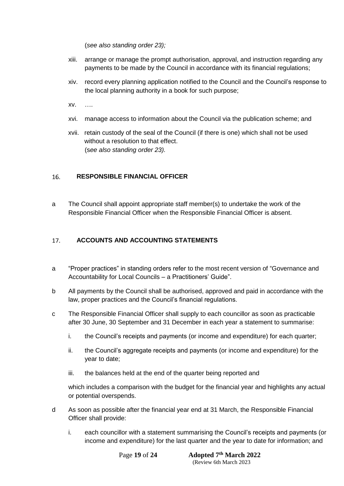(*see also standing order 23);*

- xiii. arrange or manage the prompt authorisation, approval, and instruction regarding any payments to be made by the Council in accordance with its financial regulations;
- xiv. record every planning application notified to the Council and the Council's response to the local planning authority in a book for such purpose;
- xv. ….
- xvi. manage access to information about the Council via the publication scheme; and
- xvii. retain custody of the seal of the Council (if there is one) which shall not be used without a resolution to that effect. (s*ee also standing order 23).*

#### <span id="page-18-0"></span>**RESPONSIBLE FINANCIAL OFFICER**  16.

a The Council shall appoint appropriate staff member(s) to undertake the work of the Responsible Financial Officer when the Responsible Financial Officer is absent.

#### <span id="page-18-1"></span>17. **ACCOUNTS AND ACCOUNTING STATEMENTS**

- a "Proper practices" in standing orders refer to the most recent version of "Governance and Accountability for Local Councils – a Practitioners' Guide".
- b All payments by the Council shall be authorised, approved and paid in accordance with the law, proper practices and the Council's financial regulations.
- c The Responsible Financial Officer shall supply to each councillor as soon as practicable after 30 June, 30 September and 31 December in each year a statement to summarise:
	- i. the Council's receipts and payments (or income and expenditure) for each quarter;
	- ii. the Council's aggregate receipts and payments (or income and expenditure) for the year to date;
	- iii. the balances held at the end of the quarter being reported and

which includes a comparison with the budget for the financial year and highlights any actual or potential overspends.

- d As soon as possible after the financial year end at 31 March, the Responsible Financial Officer shall provide:
	- i. each councillor with a statement summarising the Council's receipts and payments (or income and expenditure) for the last quarter and the year to date for information; and

**Page 19 of 24**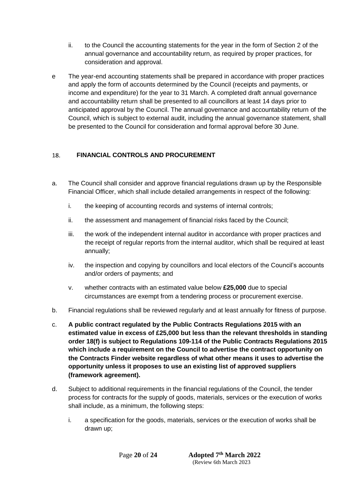- ii. to the Council the accounting statements for the year in the form of Section 2 of the annual governance and accountability return, as required by proper practices, for consideration and approval.
- e The year-end accounting statements shall be prepared in accordance with proper practices and apply the form of accounts determined by the Council (receipts and payments, or income and expenditure) for the year to 31 March. A completed draft annual governance and accountability return shall be presented to all councillors at least 14 days prior to anticipated approval by the Council. The annual governance and accountability return of the Council, which is subject to external audit, including the annual governance statement, shall be presented to the Council for consideration and formal approval before 30 June.

#### <span id="page-19-0"></span>**FINANCIAL CONTROLS AND PROCUREMENT** 18.

- a. The Council shall consider and approve financial regulations drawn up by the Responsible Financial Officer, which shall include detailed arrangements in respect of the following:
	- i. the keeping of accounting records and systems of internal controls;
	- ii. the assessment and management of financial risks faced by the Council;
	- iii. the work of the independent internal auditor in accordance with proper practices and the receipt of regular reports from the internal auditor, which shall be required at least annually;
	- iv. the inspection and copying by councillors and local electors of the Council's accounts and/or orders of payments; and
	- v. whether contracts with an estimated value below **£25,000** due to special circumstances are exempt from a tendering process or procurement exercise.
- b. Financial regulations shall be reviewed regularly and at least annually for fitness of purpose.
- c. **A public contract regulated by the Public Contracts Regulations 2015 with an estimated value in excess of £25,000 but less than the relevant thresholds in standing order 18(f) is subject to Regulations 109-114 of the Public Contracts Regulations 2015 which include a requirement on the Council to advertise the contract opportunity on the Contracts Finder website regardless of what other means it uses to advertise the opportunity unless it proposes to use an existing list of approved suppliers (framework agreement).**
- d. Subject to additional requirements in the financial regulations of the Council, the tender process for contracts for the supply of goods, materials, services or the execution of works shall include, as a minimum, the following steps:
	- i. a specification for the goods, materials, services or the execution of works shall be drawn up;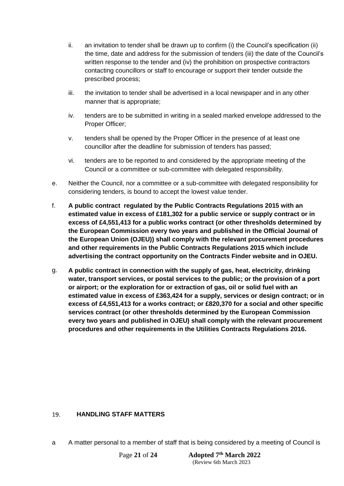- ii. an invitation to tender shall be drawn up to confirm (i) the Council's specification (ii) the time, date and address for the submission of tenders (iii) the date of the Council's written response to the tender and (iv) the prohibition on prospective contractors contacting councillors or staff to encourage or support their tender outside the prescribed process;
- iii. the invitation to tender shall be advertised in a local newspaper and in any other manner that is appropriate;
- iv. tenders are to be submitted in writing in a sealed marked envelope addressed to the Proper Officer;
- v. tenders shall be opened by the Proper Officer in the presence of at least one councillor after the deadline for submission of tenders has passed;
- vi. tenders are to be reported to and considered by the appropriate meeting of the Council or a committee or sub-committee with delegated responsibility.
- e. Neither the Council, nor a committee or a sub-committee with delegated responsibility for considering tenders, is bound to accept the lowest value tender.
- f. **A public contract regulated by the Public Contracts Regulations 2015 with an estimated value in excess of £181,302 for a public service or supply contract or in excess of £4,551,413 for a public works contract (or other thresholds determined by the European Commission every two years and published in the Official Journal of the European Union (OJEU)) shall comply with the relevant procurement procedures and other requirements in the Public Contracts Regulations 2015 which include advertising the contract opportunity on the Contracts Finder website and in OJEU.**
- g. **A public contract in connection with the supply of gas, heat, electricity, drinking water, transport services, or postal services to the public; or the provision of a port or airport; or the exploration for or extraction of gas, oil or solid fuel with an estimated value in excess of £363,424 for a supply, services or design contract; or in excess of £4,551,413 for a works contract; or £820,370 for a social and other specific services contract (or other thresholds determined by the European Commission every two years and published in OJEU) shall comply with the relevant procurement procedures and other requirements in the Utilities Contracts Regulations 2016.**

#### <span id="page-20-0"></span> $19<sub>1</sub>$ **HANDLING STAFF MATTERS**

a A matter personal to a member of staff that is being considered by a meeting of Council is

Page 21 of 24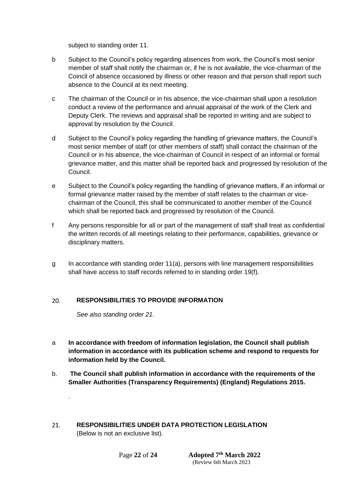subject to standing order 11.

- b Subject to the Council's policy regarding absences from work, the Council's most senior member of staff shall notify the chairman or, if he is not available, the vice-chairman of the Coincil of absence occasioned by illness or other reason and that person shall report such absence to the Council at its next meeting.
- c The chairman of the Council or in his absence, the vice-chairman shall upon a resolution conduct a review of the performance and annual appraisal of the work of the Clerk and Deputy Clerk. The reviews and appraisal shall be reported in writing and are subject to approval by resolution by the Council.
- d Subject to the Council's policy regarding the handling of grievance matters, the Council's most senior member of staff (or other members of staff) shall contact the chairman of the Council or in his absence, the vice-chairman of Council in respect of an informal or formal grievance matter, and this matter shall be reported back and progressed by resolution of the Council.
- e Subject to the Council's policy regarding the handling of grievance matters, if an informal or formal grievance matter raised by the member of staff relates to the chairman or vicechairman of the Council, this shall be communicated to another member of the Council which shall be reported back and progressed by resolution of the Council.
- f Any persons responsible for all or part of the management of staff shall treat as confidential the written records of all meetings relating to their performance, capabilities, grievance or disciplinary matters.
- g In accordance with standing order 11(a), persons with line management responsibilities shall have access to staff records referred to in standing order 19(f).

#### <span id="page-21-0"></span> $20.$ **RESPONSIBILITIES TO PROVIDE INFORMATION**

*See also standing order 21.*

.

- a **In accordance with freedom of information legislation, the Council shall publish information in accordance with its publication scheme and respond to requests for information held by the Council.**
- b. **The Council shall publish information in accordance with the requirements of the Smaller Authorities (Transparency Requirements) (England) Regulations 2015.**
- <span id="page-21-1"></span>**RESPONSIBILITIES UNDER DATA PROTECTION LEGISLATION**   $21.$ (Below is not an exclusive list).

Page 22 of 24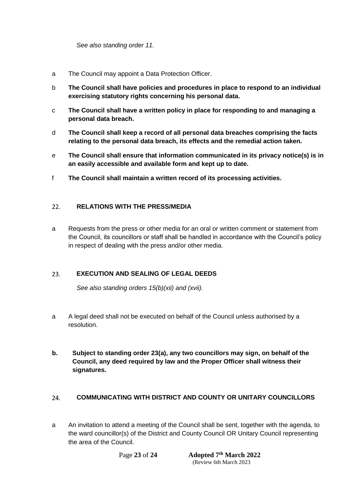*See also standing order 11.*

- a The Council may appoint a Data Protection Officer.
- b **The Council shall have policies and procedures in place to respond to an individual exercising statutory rights concerning his personal data.**
- c **The Council shall have a written policy in place for responding to and managing a personal data breach.**
- d **The Council shall keep a record of all personal data breaches comprising the facts relating to the personal data breach, its effects and the remedial action taken.**
- e **The Council shall ensure that information communicated in its privacy notice(s) is in an easily accessible and available form and kept up to date.**
- f **The Council shall maintain a written record of its processing activities.**

#### <span id="page-22-0"></span> $22.$ **RELATIONS WITH THE PRESS/MEDIA**

a Requests from the press or other media for an oral or written comment or statement from the Council, its councillors or staff shall be handled in accordance with the Council's policy in respect of dealing with the press and/or other media.

#### <span id="page-22-1"></span>23. **EXECUTION AND SEALING OF LEGAL DEEDS**

*See also standing orders 15(b)(xii) and (xvii).*

- a A legal deed shall not be executed on behalf of the Council unless authorised by a resolution.
- **b. Subject to standing order 23(a), any two councillors may sign, on behalf of the Council, any deed required by law and the Proper Officer shall witness their signatures.**

#### <span id="page-22-2"></span> $24$ **COMMUNICATING WITH DISTRICT AND COUNTY OR UNITARY COUNCILLORS**

a An invitation to attend a meeting of the Council shall be sent, together with the agenda, to the ward councillor(s) of the District and County Council OR Unitary Council representing the area of the Council.